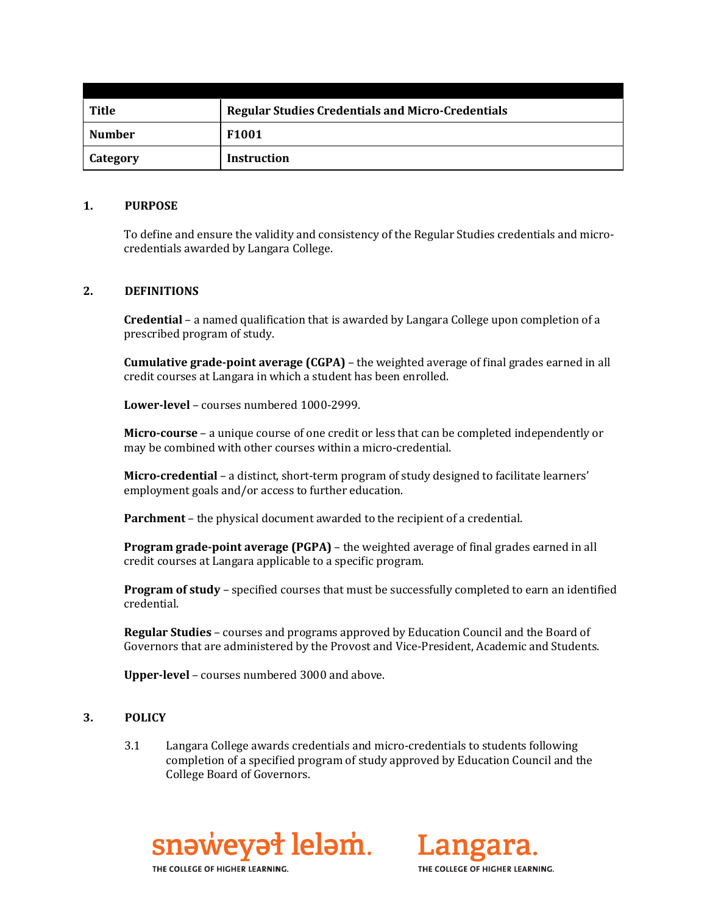| Title           | <b>Regular Studies Credentials and Micro-Credentials</b> |  |
|-----------------|----------------------------------------------------------|--|
| <b>Number</b>   | F1001                                                    |  |
| <b>Category</b> | <b>Instruction</b>                                       |  |

#### **1. PURPOSE**

To define and ensure the validity and consistency of the Regular Studies credentials and microcredentials awarded by Langara College.

### **2. DEFINITIONS**

**Credential** – a named qualification that is awarded by Langara College upon completion of a prescribed program of study.

**Cumulative grade-point average (CGPA)** – the weighted average of final grades earned in all credit courses at Langara in which a student has been enrolled.

**Lower-level** – courses numbered 1000-2999.

**Micro-course** – a unique course of one credit or less that can be completed independently or may be combined with other courses within a micro-credential.

**Micro-credential** – a distinct, short-term program of study designed to facilitate learners' employment goals and/or access to further education.

**Parchment** – the physical document awarded to the recipient of a credential.

**Program grade-point average (PGPA)** – the weighted average of final grades earned in all credit courses at Langara applicable to a specific program.

**Program of study** – specified courses that must be successfully completed to earn an identified credential.

**Regular Studies** – courses and programs approved by Education Council and the Board of Governors that are administered by the Provost and Vice-President, Academic and Students.

**Upper-level** – courses numbered 3000 and above.

#### **3. POLICY**

3.1 Langara College awards credentials and micro-credentials to students following completion of a specified program of study approved by Education Council and the College Board of Governors.



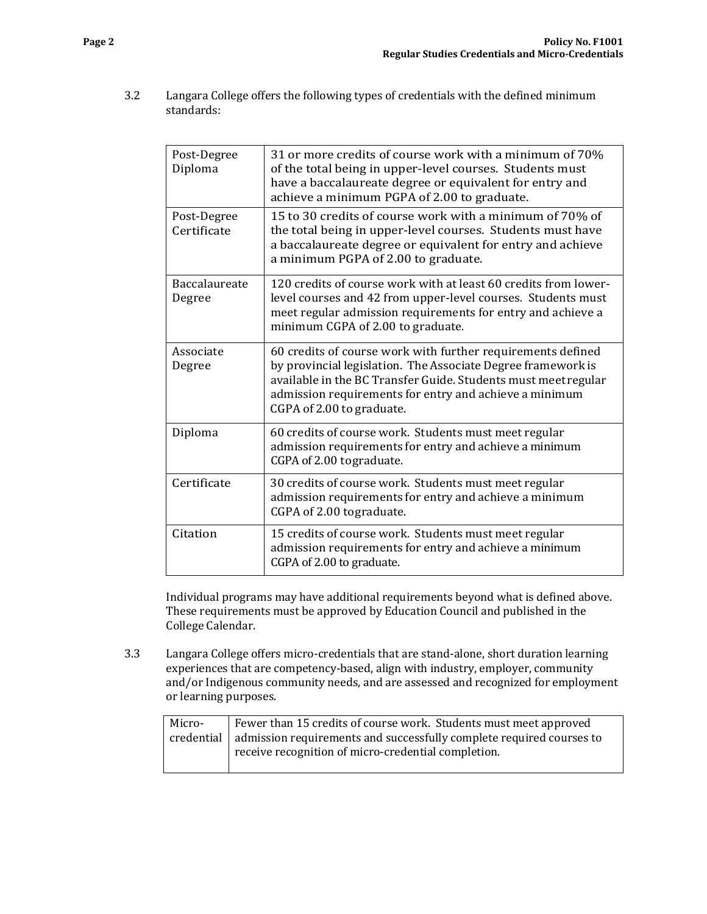3.2 Langara College offers the following types of credentials with the defined minimum standards:

| Post-Degree<br>Diploma         | 31 or more credits of course work with a minimum of 70%<br>of the total being in upper-level courses. Students must<br>have a baccalaureate degree or equivalent for entry and<br>achieve a minimum PGPA of 2.00 to graduate.                                                        |  |
|--------------------------------|--------------------------------------------------------------------------------------------------------------------------------------------------------------------------------------------------------------------------------------------------------------------------------------|--|
| Post-Degree<br>Certificate     | 15 to 30 credits of course work with a minimum of 70% of<br>the total being in upper-level courses. Students must have<br>a baccalaureate degree or equivalent for entry and achieve<br>a minimum PGPA of 2.00 to graduate.                                                          |  |
| <b>Baccalaureate</b><br>Degree | 120 credits of course work with at least 60 credits from lower-<br>level courses and 42 from upper-level courses. Students must<br>meet regular admission requirements for entry and achieve a<br>minimum CGPA of 2.00 to graduate.                                                  |  |
| Associate<br>Degree            | 60 credits of course work with further requirements defined<br>by provincial legislation. The Associate Degree framework is<br>available in the BC Transfer Guide. Students must meet regular<br>admission requirements for entry and achieve a minimum<br>CGPA of 2.00 to graduate. |  |
| Diploma                        | 60 credits of course work. Students must meet regular<br>admission requirements for entry and achieve a minimum<br>CGPA of 2.00 to graduate.                                                                                                                                         |  |
| Certificate                    | 30 credits of course work. Students must meet regular<br>admission requirements for entry and achieve a minimum<br>CGPA of 2.00 tograduate.                                                                                                                                          |  |
| Citation                       | 15 credits of course work. Students must meet regular<br>admission requirements for entry and achieve a minimum<br>CGPA of 2.00 to graduate.                                                                                                                                         |  |

Individual programs may have additional requirements beyond what is defined above. These requirements must be approved by Education Council and published in the College Calendar.

3.3 Langara College offers micro-credentials that are stand-alone, short duration learning experiences that are competency-based, align with industry, employer, community and/or Indigenous community needs, and are assessed and recognized for employment or learning purposes.

| Micro- | Fewer than 15 credits of course work. Students must meet approved                 |  |
|--------|-----------------------------------------------------------------------------------|--|
|        | credential   admission requirements and successfully complete required courses to |  |
|        | receive recognition of micro-credential completion.                               |  |
|        |                                                                                   |  |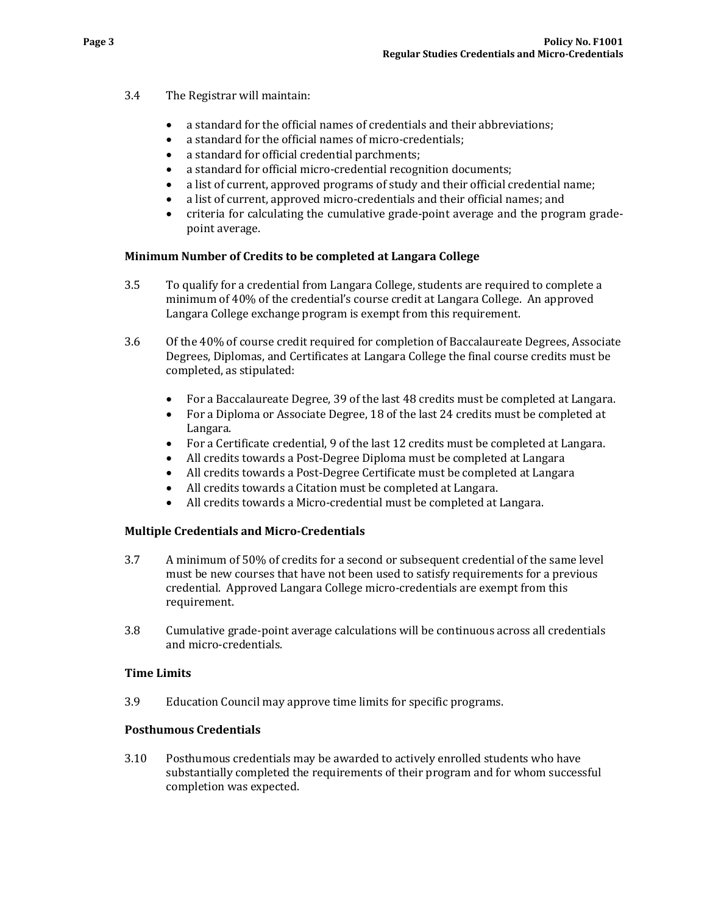- 3.4 The Registrar will maintain:
	- a standard for the official names of credentials and their abbreviations;
	- a standard for the official names of micro-credentials;<br>• a standard for official credential parchments:
	- a standard for official credential parchments;<br>• a standard for official micro-credential recogne
	- a standard for official micro-credential recognition documents;<br>• a list of current, approved programs of study and their official co
	- a list of current, approved programs of study and their official credential name;
	- a list of current, approved micro-credentials and their official names; and
	- criteria for calculating the cumulative grade-point average and the program gradepoint average.

### **Minimum Number of Credits to be completed at Langara College**

- 3.5 To qualify for a credential from Langara College, students are required to complete a minimum of 40% of the credential's course credit at Langara College. An approved Langara College exchange program is exempt from this requirement.
- 3.6 Of the 40% of course credit required for completion of Baccalaureate Degrees, Associate Degrees, Diplomas, and Certificates at Langara College the final course credits must be completed, as stipulated:
	- For a Baccalaureate Degree, 39 of the last 48 credits must be completed at Langara.
	- For a Diploma or Associate Degree, 18 of the last 24 credits must be completed at Langara.
	- For a Certificate credential, 9 of the last 12 credits must be completed at Langara.
	- All credits towards a Post-Degree Diploma must be completed at Langara
	- All credits towards a Post-Degree Certificate must be completed at Langara<br>• All credits towards a Citation must be completed at Langara
	- All credits towards a Citation must be completed at Langara.
	- All credits towards a Micro-credential must be completed at Langara.

### **Multiple Credentials and Micro-Credentials**

- 3.7 A minimum of 50% of credits for a second or subsequent credential of the same level must be new courses that have not been used to satisfy requirements for a previous credential. Approved Langara College micro-credentials are exempt from this requirement.
- 3.8 Cumulative grade-point average calculations will be continuous across all credentials and micro-credentials.

### **Time Limits**

3.9 Education Council may approve time limits for specific programs.

### **Posthumous Credentials**

3.10 Posthumous credentials may be awarded to actively enrolled students who have substantially completed the requirements of their program and for whom successful completion was expected.